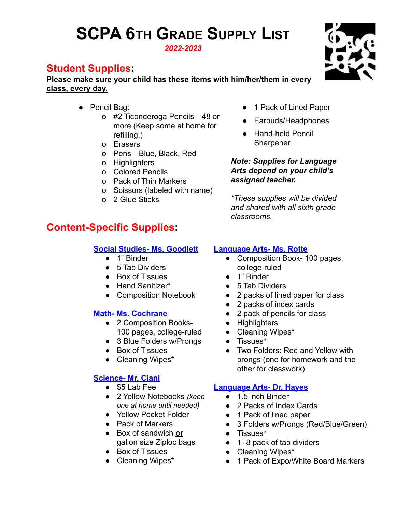## **SCPA 6TH GRADE SUPPLY LIST** *2022-2023*

**Student Supplies:**

**Please make sure your child has these items with him/her/them in every class, every day.**

- Pencil Bag:
	- o #2 Ticonderoga Pencils—48 or more (Keep some at home for refilling.)
	- o Erasers
	- o Pens—Blue, Black, Red
	- o Highlighters
	- o Colored Pencils
	- o Pack of Thin Markers
	- o Scissors (labeled with name)
	- o 2 Glue Sticks

### **Content-Specific Supplies:**

#### **Social Studies- Ms. Goodlett**

- 1" Binder
- 5 Tab Dividers
- Box of Tissues
- Hand Sanitizer\*
- Composition Notebook

#### **Math- Ms. Cochrane**

- 2 Composition Books-100 pages, college-ruled
- 3 Blue Folders w/Prongs
- Box of Tissues
- Cleaning Wipes\*

#### **Science- Mr. Ciani**

- \$5 Lab Fee
- 2 Yellow Notebooks *(keep one at home until needed)*
- Yellow Pocket Folder
- Pack of Markers
- Box of sandwich **or** gallon size Ziploc bags
- Box of Tissues
- Cleaning Wipes\*
- 1 Pack of Lined Paper
- Earbuds/Headphones
- Hand-held Pencil **Sharpener**

*Note: Supplies for Language Arts depend on your child's assigned teacher.*

*\*These supplies will be divided and shared with all sixth grade classrooms.*

#### **Language Arts- Ms. Rotte**

- Composition Book- 100 pages, college-ruled
- 1" Binder
- 5 Tab Dividers
- 2 packs of lined paper for class
- 2 packs of index cards
- 2 pack of pencils for class
- Highlighters
- Cleaning Wipes\*
- Tissues\*
- Two Folders: Red and Yellow with prongs (one for homework and the other for classwork)

#### **Language Arts- Dr. Hayes**

- 1.5 inch Binder
- 2 Packs of Index Cards
- 1 Pack of lined paper
- 3 Folders w/Prongs (Red/Blue/Green)
- Tissues\*
- 1-8 pack of tab dividers
- Cleaning Wipes\*
- 1 Pack of Expo/White Board Markers